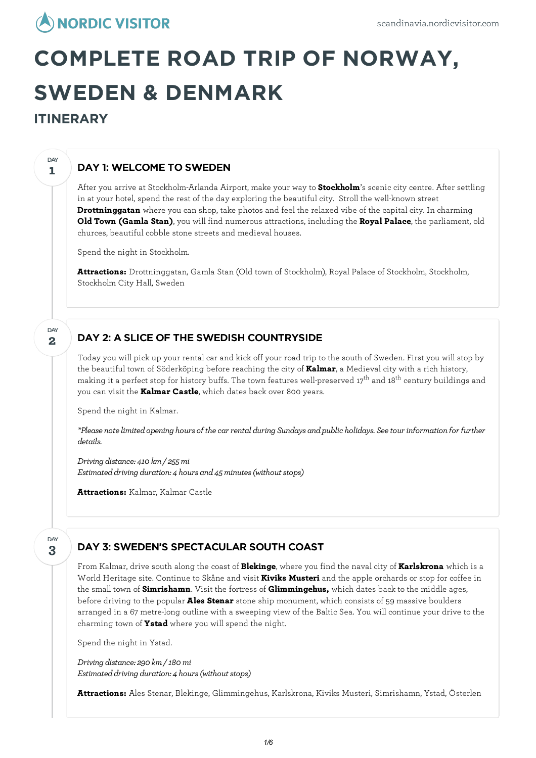# **COMPLETE ROAD TRIP OF NORWAY, SWEDEN & DENMARK**

# **ITINERARY**

**1**

DAY

**2**

**DAY** 

# DAY 1: WELCOME TO SWEDEN

After you arrive at Stockholm-Arlanda Airport, make your way to **Stockholm**'s scenic city centre. After settling in at your hotel, spend the rest of the day exploring the beautiful city. Stroll the well-known street **Drottninggatan** where you can shop, take photos and feel the relaxed vibe of the capital city. In charming **Old Town (Gamla Stan)**, you will find numerous attractions, including the **Royal Palace**, the parliament, old churces, beautiful cobble stone streets and medieval houses.

Spend the night in Stockholm.

**Attractions:** Drottninggatan, Gamla Stan (Old town of Stockholm), Royal Palace of Stockholm, Stockholm, Stockholm City Hall, Sweden

# DAY 2: A SLICE OF THE SWEDISH COUNTRYSIDE

Today you will pick up your rental car and kick off your road trip to the south of Sweden. First you will stop by the beautiful town of Söderköping before reaching the city of **Kalmar**, a Medieval city with a rich history, making it a perfect stop for history buffs. The town features well-preserved 17<sup>th</sup> and 18<sup>th</sup> century buildings and you can visit the **Kalmar Castle**, which dates back over 800 years.

Spend the night in Kalmar.

*\*Please notelimitedopening hours of thecar rental during Sundays andpublic holidays. Seetour information for further details.*

*Driving distance: 410 km/ 255mi Estimated driving duration: 4 hours and 45 minutes (without stops)* 

**Attractions:** Kalmar, Kalmar Castle

#### **3** DAY

## DAY 3: SWEDEN'S SPECTACULAR SOUTH COAST

From Kalmar, drive south along the coast of **Blekinge**, where you find the naval city of **Karlskrona** which is a World Heritage site. Continue to Skåne and visit **Kiviks Musteri** and the apple orchards or stop for coffee in the small town of **Simrishamn**. Visit the fortress of **Glimmingehus,** which dates back to the middle ages, before driving to the popular **Ales Stenar** stone ship monument, which consists of 59 massive boulders arranged in a 67 metre-long outline with a sweeping view of the Baltic Sea. You will continue your drive to the charming town of **Ystad** where you will spend the night.

Spend the night in Ystad.

*Driving distance: 290 km/ 180mi Estimated driving duration: 4 hours (without stops)* 

**Attractions:** Ales Stenar, Blekinge, Glimmingehus, Karlskrona, Kiviks Musteri, Simrishamn, Ystad, Österlen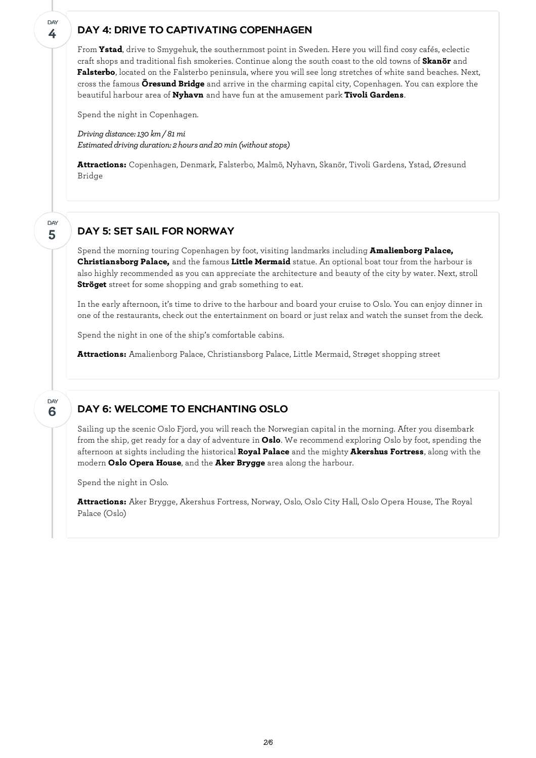#### DAY 4: DRIVE TO CAPTIVATING COPENHAGEN

From **Ystad**, drive to Smygehuk, the southernmost point in Sweden. Here you will find cosy cafés, eclectic craft shops and traditional fish smokeries. Continue along the south coast to the old towns of **Skanör** and **Falsterbo**, located on the Falsterbo peninsula, where you will see long stretches of white sand beaches. Next, cross the famous **Öresund Bridge** and arrive in the charming capital city, Copenhagen. You can explore the beautiful harbour area of **Nyhavn** and have fun at the amusement park **Tivoli Gardens**.

Spend the night in Copenhagen.

**4**

**DAY** 

**5**

DAY

**6**

DAY

*Driving distance:130 km/ 81mi Estimated driving duration: 2 hours and 20 min (without stops)* 

**Attractions:** Copenhagen, Denmark, Falsterbo, Malmö, Nyhavn, Skanör, Tivoli Gardens, Ystad, Øresund Bridge

### DAY 5: SET SAIL FOR NORWAY

Spend the morning touring Copenhagen by foot, visiting landmarks including **Amalienborg Palace, Christiansborg Palace,** and the famous **Little Mermaid** statue. An optional boat tour from the harbour is also highly recommended as you can appreciate the architecture and beauty of the city by water. Next, stroll **Ströget** street for some shopping and grab something to eat.

In the early afternoon, it's time to drive to the harbour and board your cruise to Oslo. You can enjoy dinner in one of the restaurants, check out the entertainment on board or just relax and watch the sunset from the deck.

Spend the night in one of the ship's comfortable cabins.

**Attractions:** Amalienborg Palace, Christiansborg Palace, Little Mermaid, Strøget shopping street

## DAY 6: WELCOME TO ENCHANTING OSLO

Sailing up the scenic Oslo Fjord, you will reach the Norwegian capital in the morning. After you disembark from the ship, get ready for a day of adventure in **Oslo**. We recommend exploring Oslo by foot, spending the afternoon at sights including the historical **Royal Palace** and the mighty **Akershus Fortress**, along with the modern **Oslo Opera House**, and the **Aker Brygge** area along the harbour.

Spend the night in Oslo.

**Attractions:** Aker Brygge, Akershus Fortress, Norway, Oslo, Oslo City Hall, Oslo Opera House, The Royal Palace (Oslo)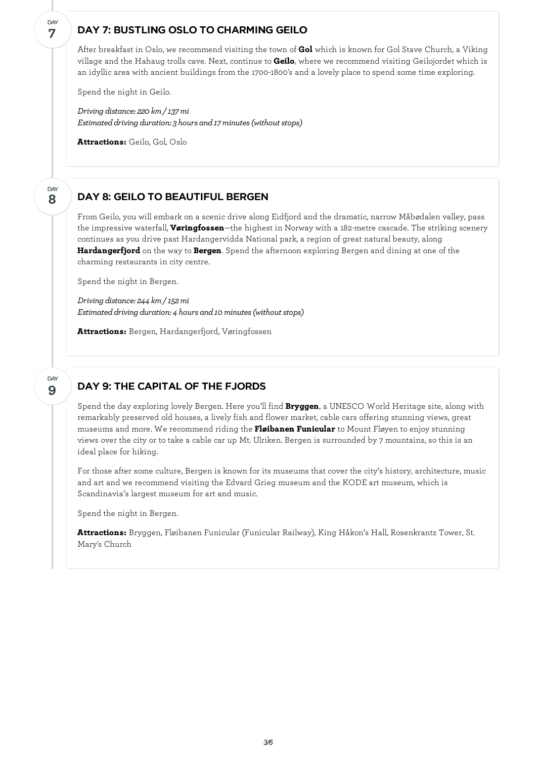#### DAY 7: BUSTLING OSLO TO CHARMING GEILO

After breakfast in Oslo, we recommend visiting the town of **Gol** which is known for Gol Stave Church, a Viking village and the Hahaug trolls cave. Next, continue to **Geilo**, where we recommend visiting Geilojordet which is an idyllic area with ancient buildings from the 1700-1800's and a lovely place to spend some time exploring.

Spend the night in Geilo.

**7**

DAY

**8**

DAY

**9**

DAY

*Driving distance: 220 km/ 137mi Estimated driving duration: 3 hours and 17 minutes (without stops)* 

**Attractions:** Geilo, Gol, Oslo

#### DAY 8: GEILO TO BEAUTIFUL BERGEN

From Geilo, you willembark on a scenic drive along Eidfjord and the dramatic, narrow Måbødalen valley, pass the impressive waterfall, **Vøringfossen**—the highest in Norway with a 182-metre cascade. The striking scenery continues as you drive past Hardangervidda National park, a region of great natural beauty, along **Hardangerfjord** on the way to **Bergen**. Spend the afternoon exploring Bergen and dining at one of the charming restaurants in city centre.

Spend the night in Bergen.

*Driving distance: 244 km/ 152mi Estimated driving duration: 4 hours and 10 minutes (without stops)* 

**Attractions:** Bergen, Hardangerfjord, Vøringfossen

#### DAY 9: THE CAPITAL OF THE FJORDS

Spend the day exploring lovely Bergen. Here you'll find **Bryggen**, a UNESCO World Heritage site, along with remarkably preserved old houses, a lively fish and flower market, cable cars offering stunning views, great museums and more. We recommend riding the **Fløibanen Funicular** to Mount Fløyen to enjoy stunning views over the city or to take a cable car up Mt. Ulriken. Bergen is surrounded by 7 mountains, so this is an ideal place for hiking.

For those after some culture, Bergen is known for its museums that cover the city's history, architecture, music and art and we recommend visiting the Edvard Grieg museum and the KODE art museum, which is Scandinavia's largest museum for art and music.

Spend the night in Bergen.

**Attractions:** Bryggen, Fløibanen Funicular (Funicular Railway), King Håkon's Hall, Rosenkrantz Tower, St. Mary's Church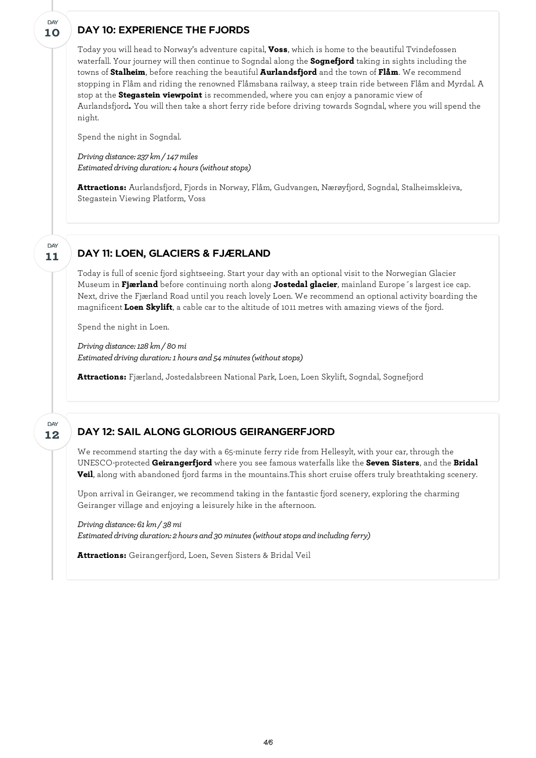### DAY 10: EXPERIENCE THE FJORDS

Today you will head to Norway's adventure capital, **Voss**, which is home to the beautiful Tvindefossen waterfall. Your journey will then continue to Sogndal along the **Sognefjord** taking in sights including the towns of **Stalheim**, before reaching the beautiful **Aurlandsfjord** and the town of **Flåm**. We recommend stopping in Flåm and riding the renowned Flåmsbana railway, a steep train ride between Flåm and Myrdal. A stop at the **Stegastein viewpoint** is recommended, where you can enjoy a panoramic view of Aurlandsfjord**.** You will then take a short ferry ride before driving towards Sogndal, where you will spend the night.

Spend the night in Sogndal.

*Driving distance: 237 km/ 147miles Estimated driving duration: 4 hours (without stops)* 

**Attractions:** Aurlandsfjord, Fjords in Norway, Flåm, Gudvangen, Nærøyfjord, Sogndal, Stalheimskleiva, Stegastein Viewing Platform, Voss

DAY 11: LOEN, GLACIERS & FJÆRLAND

Today is full of scenic fjord sightseeing. Start your day with an optional visit to the Norwegian Glacier Museum in **Fjærland** before continuing north along **Jostedal glacier**, mainland Europe´s largest ice cap. Next, drive the Fjærland Road until you reach lovely Loen. We recommend an optional activity boarding the magnificent **Loen Skylift**, a cable car to the altitude of 1011 metres with amazing views of the fjord.

Spend the night in Loen.

*Driving distance:128 km/ 80mi Estimated driving duration: 1 hours and 54 minutes (without stops)* 

**Attractions:** Fjærland, Jostedalsbreen National Park, Loen, Loen Skylift, Sogndal, Sognefjord

#### **12** DAY

**11**

**DAY** 

**10**

**DAY** 

#### DAY 12: SAIL ALONG GLORIOUS GEIRANGERFJORD

We recommend starting the day with a 65-minute ferry ride from Hellesylt, with your car, through the UNESCO-protected **Geirangerfjord** where you see famous waterfalls like the **Seven Sisters**, and the **Bridal Veil**, along with abandoned fjord farms in the mountains.This short cruise offers truly breathtaking scenery.

Upon arrival in Geiranger, we recommend taking in the fantastic fjord scenery, exploring the charming Geiranger village and enjoying a leisurely hike in the afternoon.

*Driving distance: 61km/ 38mi Estimateddriving duration: 2 hours and30minutes(withoutstops andincluding ferry)*

**Attractions:** Geirangerfjord, Loen, Seven Sisters & Bridal Veil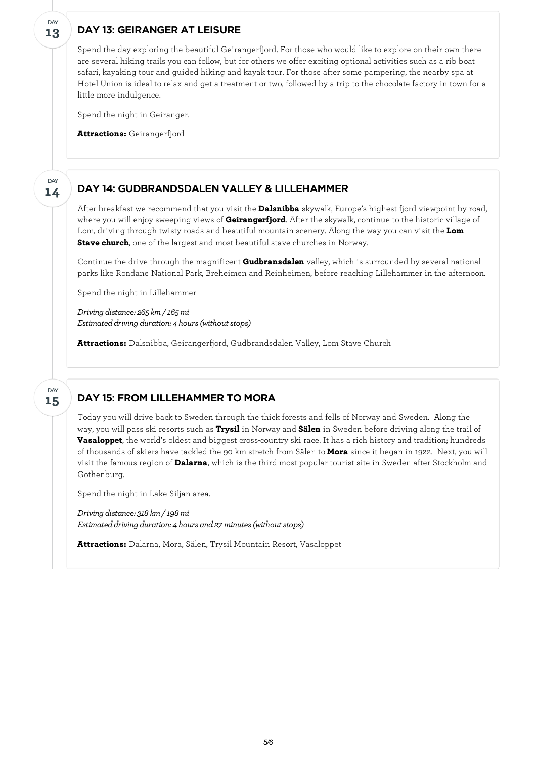## DAY 13: GEIRANGER AT LEISURE

**13**

DAY

**14**

**DAY** 

Spend the day exploring the beautiful Geirangerfjord. For those who would like to explore on their own there are several hiking trails you can follow, but for others we offer exciting optional activities such as a rib boat safari, kayaking tour and guided hiking and kayak tour. For those after some pampering, the nearby spa at Hotel Union is ideal to relax and get a treatment or two, followed by a trip to the chocolate factory in town for a little more indulgence.

Spend the night in Geiranger.

**Attractions:** Geirangerfjord

#### DAY 14: GUDBRANDSDALEN VALLEY & LILLEHAMMER

After breakfast we recommend that you visit the **Dalsnibba** skywalk, Europe's highest fjord viewpoint by road, where you willenjoy sweeping views of **Geirangerfjord**. After the skywalk, continue to the historic village of Lom, driving through twisty roads and beautiful mountain scenery. Along the way you can visit the **Lom Stave church**, one of the largest and most beautiful stave churches in Norway.

Continue the drive through the magnificent **Gudbransdalen** valley, which is surrounded by several national parks like Rondane National Park, Breheimen and Reinheimen, before reaching Lillehammer in the afternoon.

Spend the night in Lillehammer

*Driving distance: 265 km/ 165mi Estimated driving duration: 4 hours (without stops)* 

**Attractions:** Dalsnibba, Geirangerfjord, Gudbrandsdalen Valley, Lom Stave Church

#### DAY 15: FROM LILLEHAMMER TO MORA **15** DAY

Today you will drive back to Sweden through the thick forests and fells of Norway and Sweden. Along the way, you will pass ski resorts such as **Trysil** in Norway and **Sälen** in Sweden before driving along the trail of **Vasaloppet**, the world's oldest and biggest cross-country ski race. It has a rich history and tradition; hundreds of thousands of skiers have tackled the 90 km stretch from Sälen to **Mora** since it began in 1922. Next, you will visit the famous region of **Dalarna**, which is the third most popular tourist site in Sweden after Stockholm and Gothenburg.

Spend the night in Lake Siljan area.

*Driving distance: 318 km/ 198mi Estimated driving duration: 4 hours and 27 minutes (without stops)* 

**Attractions:** Dalarna, Mora, Sälen, Trysil Mountain Resort, Vasaloppet